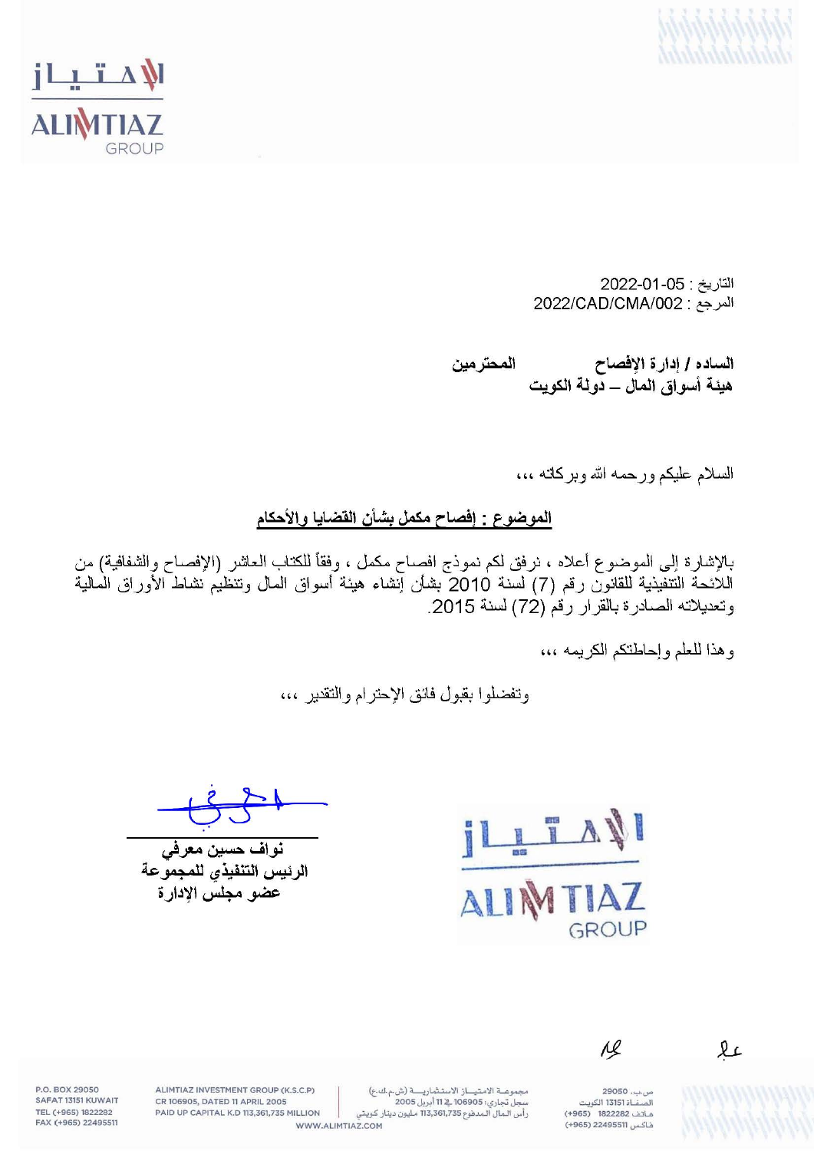



التاريخ: 05-01-2022 المرجع: 2022/CAD/CMA/002

الساده / إدارة الإفصاح المحترمين هيئة أسو إق المآل ـــ دو لة الكويت

السلام عليكم ورحمه الله وبركاته ،،،

الموضوع : إفصاح مكمل بشأن القضايا والأحكام

بالإشارة إلى الموضوع أعلاه ، نرفق لكم نموذج افصاح مكمل ، وفقأ للكتاب العاشر (الإفصاح والشفافية) من اللائحة التتفيذية للقانون رقم (7) لسنة 2010 بشأن آنشاء هيئة أسواق المال وتنظيُم نشاط الأوراق الْمالية وتعديلاته الصادرة بالقرار رقم (72) لسنة 2015.

وهذا للعلم وإحاطتكم الكريمه ،،،

وتفضلوا بقبول فائق الإحترام والتقدير ،،،

نواف حسين معرفي الرئيس التنفيذي للمجموعة عضو مجلس الإدار ة



 $\overline{M}$ 

 $\mathfrak{L}$ 

ص.ب. 29050 .<br>الصفاة 13151 الكويت هاتف 1822282 (965+) فاكس 22495511 (965+)

مجموعة الامتياز الاستثمارية (ش م ك ع) سجل تجاري: 106905 \_12 أبريل 2005 رأس المال المدفوع 113,361,735 مليون دينار كويتي

ALIMTIAZ INVESTMENT GROUP (K.S.C.P) CR 106905, DATED 11 APRIL 2005 PAID UP CAPITAL K.D 113,361,735 MILLION WWW.ALIMTIAZ.COM

P.O. BOX 29050 SAFAT 13151 KUWAIT TEL (+965) 1822282 FAX (+965) 22495511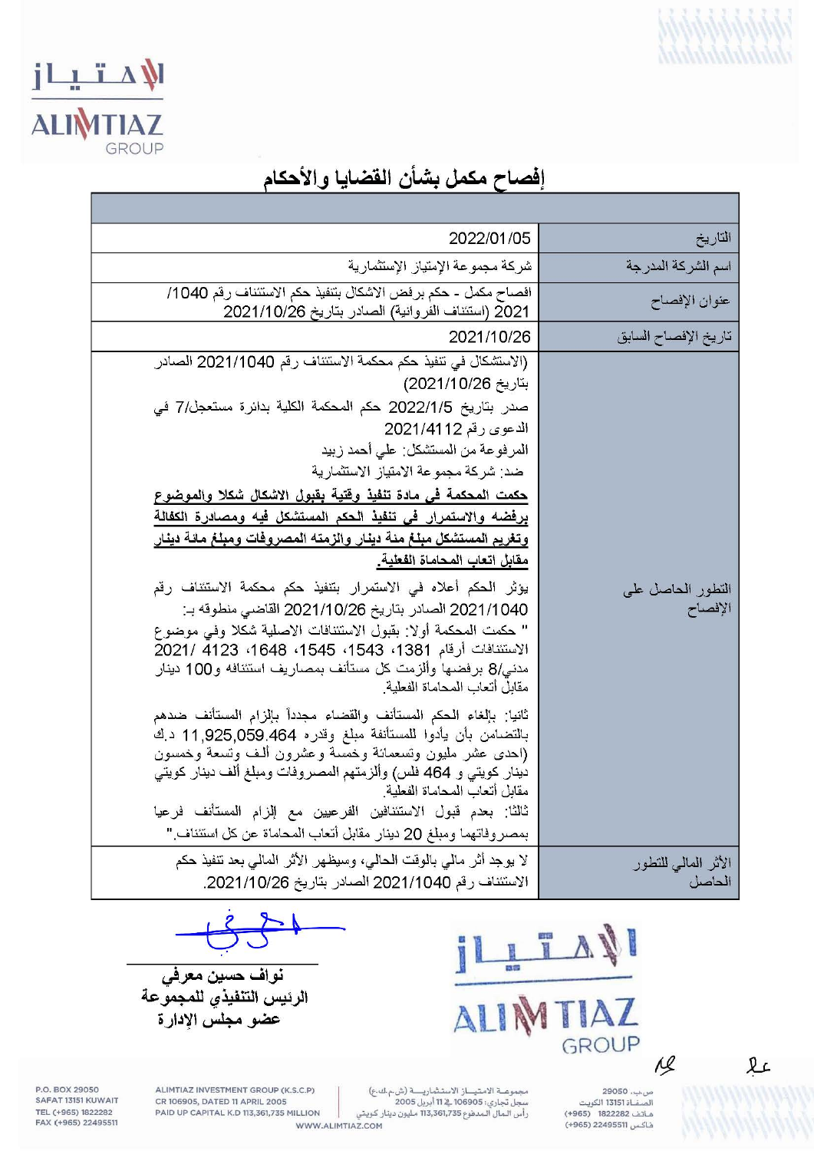

# الامتياز **ALIMTIAZ**

### إفصاح مكمل بشأن القضايا والأحكام

| التاريخ                       | 2022/01/05                                                                                                                                                                                                                                                                                                                                                                                                                                                                                                                                                                                                                                                                                                                                                                                                                                                                                                                                                                                                                                                                                                                                                                                                                                                                        |
|-------------------------------|-----------------------------------------------------------------------------------------------------------------------------------------------------------------------------------------------------------------------------------------------------------------------------------------------------------------------------------------------------------------------------------------------------------------------------------------------------------------------------------------------------------------------------------------------------------------------------------------------------------------------------------------------------------------------------------------------------------------------------------------------------------------------------------------------------------------------------------------------------------------------------------------------------------------------------------------------------------------------------------------------------------------------------------------------------------------------------------------------------------------------------------------------------------------------------------------------------------------------------------------------------------------------------------|
| اسم الشركة المدرجة            | شركة مجموعة الإمتياز الإستثمارية                                                                                                                                                                                                                                                                                                                                                                                                                                                                                                                                                                                                                                                                                                                                                                                                                                                                                                                                                                                                                                                                                                                                                                                                                                                  |
| عنوان الإفصاح                 | افصاح مكمل - حكم برفض الاشكال بتنفيذ حكم الاستئناف رقم 1040/<br>2021 (استئناف الفروانية) الصادر بتاريخ 2021/10/26                                                                                                                                                                                                                                                                                                                                                                                                                                                                                                                                                                                                                                                                                                                                                                                                                                                                                                                                                                                                                                                                                                                                                                 |
| تاريخ الإفصاح السابق          | 2021/10/26                                                                                                                                                                                                                                                                                                                                                                                                                                                                                                                                                                                                                                                                                                                                                                                                                                                                                                                                                                                                                                                                                                                                                                                                                                                                        |
| التطور الحاصل على<br>الإفصاح  | (الاستشكال في تنفيذ حكم محكمة الاستئناف رقم 2021/1040 الصادر<br>بتاريخ 2021/10/26)<br>صدر بتاريخ 2022/1/5 حكم المحكمة الكلية بدائرة مستعجل/7 في<br>الدعوى رقم 2021/4112<br>المرفوعة من المستشكل: على أحمد زبيد<br>ضد: شركة مجموعة الامتياز الاستثمارية<br>حكمت المحكمة في مادة تنفيذ وقتية بقبول الاشكال شكلا والموضوع<br>برفضه والاستمرار في تنفيذ الحكم المستشكل فيه ومصادرة الكفالة<br>وتغريم المستشكل مبلغ مئة دينار والزمته المصروفات ومبلغ مائة دينار<br>مقابل اتعاب المحاماة الفعلية.<br>يؤثر الحكم أعلاه في الاستمرار بتنفيذ حكم محكمة الاستئناف رقم<br>2021/1040 الصادر بتاريخ 2021/10/26 القاضي منطوقه بـ:<br>" حكمت المحكمة أولا: بقبول الاستئنافات الاصلية شكلا وفي موضوع<br>الاستئنافات أرقام 1381، 1543، 1545، 1648، 4123 /2021<br>مدني/8 برفضها وألزمت كل مستأنف بمصاريف استئنافه و100 دينار<br>مقابل أتعاب المحاماة الفعلية<br>ثانيا: بالغاء الحكم المستأنف والقضاء مجدداً بالزام المستأنف ضدهم<br>بالتضامن بأن يأدوا للمستأنفة مبلغ وقدره 059.464-925,059 د.ك<br>(احدى عشر مليون وتسعمائة وخمسة وعشرون ألف وتسعة وخمسون<br>دينار كويتي و 464 فلس) وألزمتهم المصىروفات ومبلغ ألف دينار كويتي<br>مقابل أتعاب المحاماة الفعلية<br>ثالثًا: بعدم قبول الاستئنافين الفرعيين مع الزام المستأنف فرعيا<br>بمصروفاتهما ومبلغ 20 دينار مقابل أتعاب المحاماة عن كل استئناف " |
| الأثر المالى للتطور<br>الحاصل | لا يوجد أثر مالي بالوقت الحالي، وسيظهر الأثر المالي بعد تنفيذ حكم<br>الاستئناف رقم 2021/1040 الصادر بتاريخ 2021/10/26.                                                                                                                                                                                                                                                                                                                                                                                                                                                                                                                                                                                                                                                                                                                                                                                                                                                                                                                                                                                                                                                                                                                                                            |

**I** IAZ  $\overline{\Delta}$ GROUP

نواف حسين معرفي الرئيس التنفيذي للمجموعة عضو مجلس الإدارة

> ص،ب، 29050<br>الصفــاة 13151 الكويت<br>هـاتف 1822282 (965+) فاكس 22495511 (965+)

 $\overline{M}$ 

 $2c$ 

مجموعــة الامـتـيـــاز الاستـثماريـــــة (ش.م.ك.ع)<br>سجل تجاري: 106905\_فے 11 أبريل 2005<br>رأس الـمال الـمدفوع 113,361,735 مـليون دينار كـويتي WWW.ALIMTIAZ.COM

ALIMTIAZ INVESTMENT GROUP (K.S.C.P) CR 106905, DATED 11 APRIL 2005 PAID UP CAPITAL K.D 113,361,735 MILLION

P.O. BOX 29050 SAFAT 13151 KUWAIT TEL (+965) 1822282<br>FAX (+965) 22495511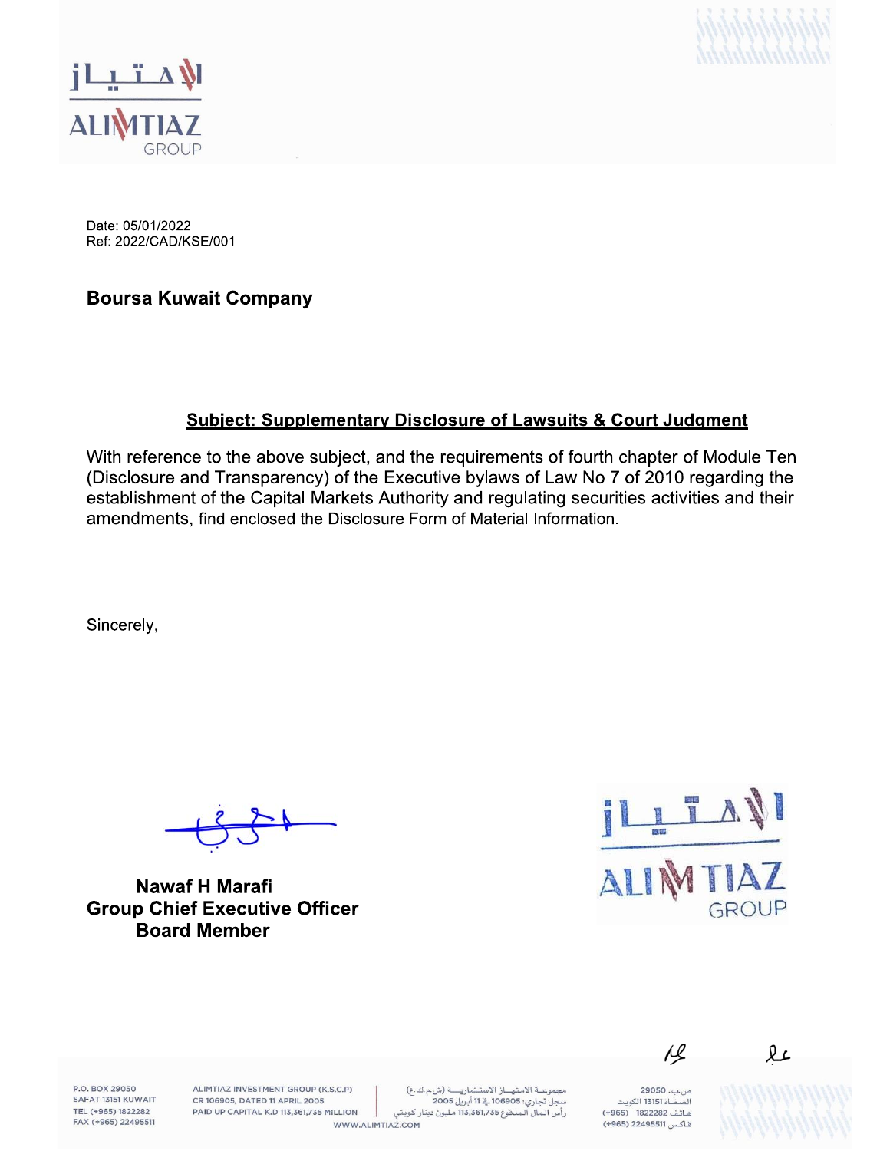



Date: 05/01/2022 Ref: 2022/CAD/KSE/001

**Boursa Kuwait Company** 

#### **Subject: Supplementary Disclosure of Lawsuits & Court Judgment**

With reference to the above subject, and the requirements of fourth chapter of Module Ten (Disclosure and Transparency) of the Executive bylaws of Law No 7 of 2010 regarding the establishment of the Capital Markets Authority and regulating securities activities and their amendments, find enclosed the Disclosure Form of Material Information.

Sincerely,

**Nawaf H Marafi Group Chief Executive Officer Board Member** 



P.O. BOX 29050 SAFAT 13151 KUWAIT TEL (+965) 1822282 FAX (+965) 22495511

ALIMTIAZ INVESTMENT GROUP (K.S.C.P) CR 106905, DATED 11 APRIL 2005 PAID UP CAPITAL K.D 113,361,735 MILLION

مجموعة الامتياز الاستثمارية (ش.م.ك.ع) سجل تجاري: 106905 في 11 أبريل 2005 رأس المال المدفوع 113,361,735 مليون دينار كويتي WWW.ALIMTIAZ.COM

ص.ب. 29050 هاتف 1822282 (965+) فاكس 22495511 (965+)

 $\overline{\mathcal{L}}$ 

lŁ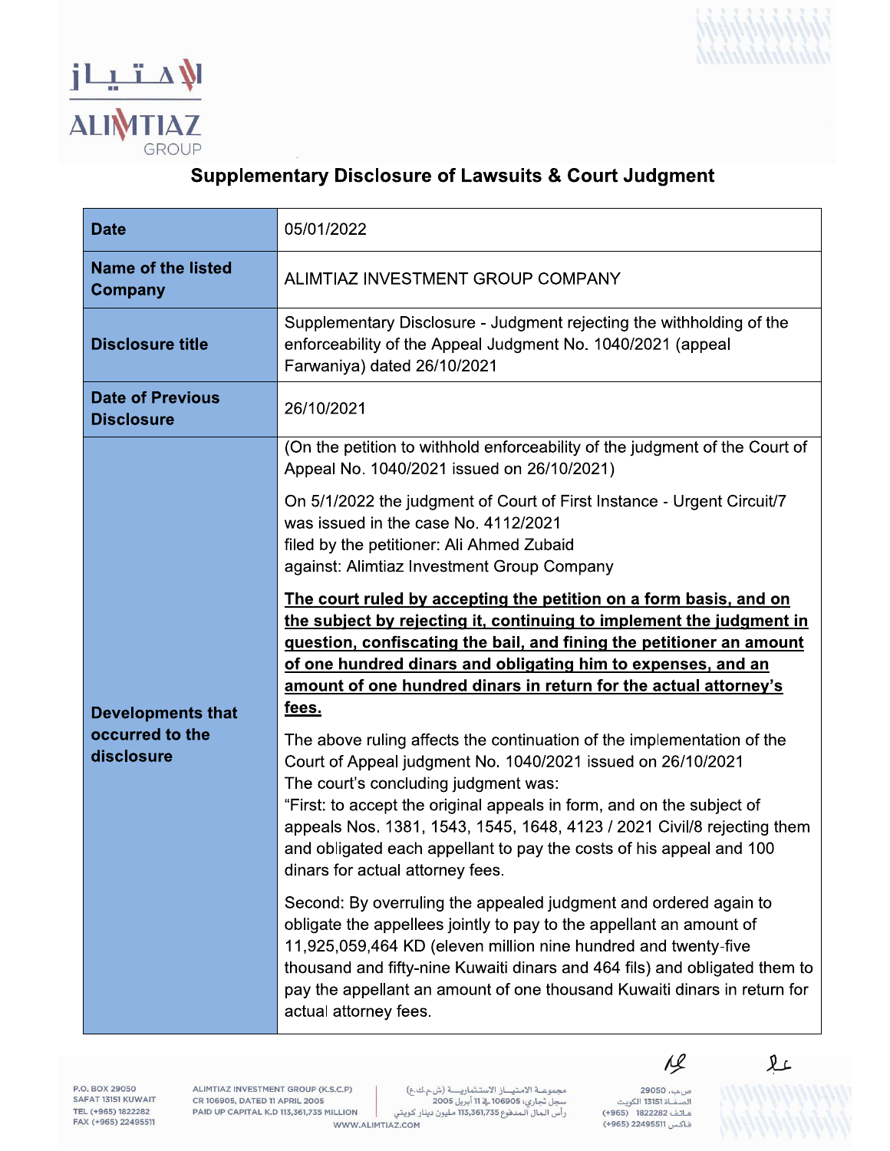



#### **Supplementary Disclosure of Lawsuits & Court Judgment**

| <b>Date</b>                                               | 05/01/2022                                                                                                                                                                                                                                                                                                                                                                                                                                   |
|-----------------------------------------------------------|----------------------------------------------------------------------------------------------------------------------------------------------------------------------------------------------------------------------------------------------------------------------------------------------------------------------------------------------------------------------------------------------------------------------------------------------|
| <b>Name of the listed</b><br>Company                      | ALIMTIAZ INVESTMENT GROUP COMPANY                                                                                                                                                                                                                                                                                                                                                                                                            |
| <b>Disclosure title</b>                                   | Supplementary Disclosure - Judgment rejecting the withholding of the<br>enforceability of the Appeal Judgment No. 1040/2021 (appeal<br>Farwaniya) dated 26/10/2021                                                                                                                                                                                                                                                                           |
| <b>Date of Previous</b><br><b>Disclosure</b>              | 26/10/2021                                                                                                                                                                                                                                                                                                                                                                                                                                   |
| <b>Developments that</b><br>occurred to the<br>disclosure | (On the petition to withhold enforceability of the judgment of the Court of<br>Appeal No. 1040/2021 issued on 26/10/2021)                                                                                                                                                                                                                                                                                                                    |
|                                                           | On 5/1/2022 the judgment of Court of First Instance - Urgent Circuit/7<br>was issued in the case No. 4112/2021<br>filed by the petitioner: Ali Ahmed Zubaid<br>against: Alimtiaz Investment Group Company                                                                                                                                                                                                                                    |
|                                                           | The court ruled by accepting the petition on a form basis, and on<br>the subject by rejecting it, continuing to implement the judgment in<br>guestion, confiscating the bail, and fining the petitioner an amount<br>of one hundred dinars and obligating him to expenses, and an<br>amount of one hundred dinars in return for the actual attorney's<br><u>fees.</u>                                                                        |
|                                                           | The above ruling affects the continuation of the implementation of the<br>Court of Appeal judgment No. 1040/2021 issued on 26/10/2021<br>The court's concluding judgment was:<br>"First: to accept the original appeals in form, and on the subject of<br>appeals Nos. 1381, 1543, 1545, 1648, 4123 / 2021 Civil/8 rejecting them<br>and obligated each appellant to pay the costs of his appeal and 100<br>dinars for actual attorney fees. |
|                                                           | Second: By overruling the appealed judgment and ordered again to<br>obligate the appellees jointly to pay to the appellant an amount of<br>11,925,059,464 KD (eleven million nine hundred and twenty-five<br>thousand and fifty-nine Kuwaiti dinars and 464 fils) and obligated them to<br>pay the appellant an amount of one thousand Kuwaiti dinars in return for<br>actual attorney fees.                                                 |

P.O. BOX 29050<br>SAFAT 13151 KUWAIT TEL (+965) 1822282<br>FAX (+965) 1822282

ALIMTIAZ INVESTMENT GROUP (K.S.C.P) CR 106905, DATED 11 APRIL 2005 PAID UP CAPITAL K.D 113,361,735 MILLION

مجموعــة الامتيـــاز الاستـثماريـــــة (ش.م.ك.ع)<br>سجل تجاري: 106905 ـــة 11 أبريل 2005<br>رأس الـمال الـمدفوع 113,361,735 مليون دينار كويتي WWW.ALIMTIAZ.COM

ص ب. 29050 س/ب. ------<br>الصفــاة 13151 الكويت<br>هـاتـف 1822282 (965+) فاكس 22495511 (965+)

 $\overline{\mathcal{L}}$ 

见